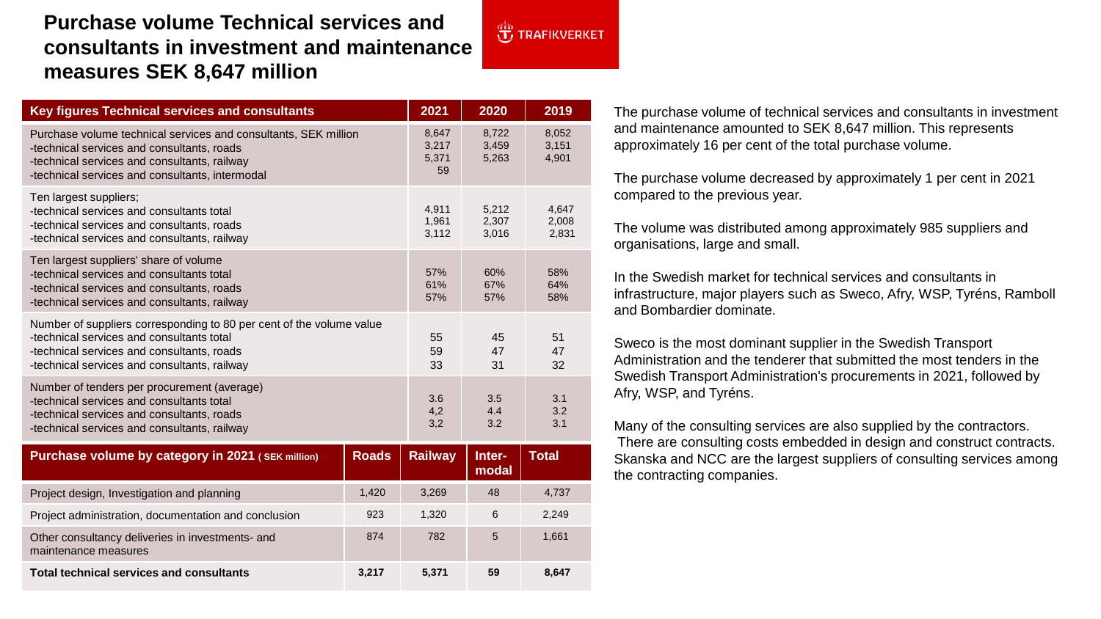## **Purchase volume Technical services and consultants in investment and maintenance measures SEK 8,647 million**

| <b>Key figures Technical services and consultants</b>                                                                                                                                                            | 2021                          | 2020                    | 2019                    |
|------------------------------------------------------------------------------------------------------------------------------------------------------------------------------------------------------------------|-------------------------------|-------------------------|-------------------------|
| Purchase volume technical services and consultants, SEK million<br>-technical services and consultants, roads<br>-technical services and consultants, railway<br>-technical services and consultants, intermodal | 8,647<br>3,217<br>5,371<br>59 | 8,722<br>3,459<br>5,263 | 8,052<br>3,151<br>4,901 |
| Ten largest suppliers;<br>-technical services and consultants total<br>-technical services and consultants, roads<br>-technical services and consultants, railway                                                | 4,911<br>1,961<br>3,112       | 5,212<br>2,307<br>3,016 | 4,647<br>2,008<br>2,831 |
| Ten largest suppliers' share of volume<br>-technical services and consultants total<br>-technical services and consultants, roads<br>-technical services and consultants, railway                                | 57%<br>61%<br>57%             | 60%<br>67%<br>57%       | 58%<br>64%<br>58%       |
| Number of suppliers corresponding to 80 per cent of the volume value<br>-technical services and consultants total<br>-technical services and consultants, roads<br>-technical services and consultants, railway  | 55<br>59<br>33                | 45<br>47<br>31          | 51<br>47<br>32          |
| Number of tenders per procurement (average)<br>-technical services and consultants total<br>-technical services and consultants, roads<br>-technical services and consultants, railway                           | 3.6<br>4,2<br>3,2             | 3.5<br>4.4<br>3.2       | 3.1<br>3.2<br>3.1       |
| Purchase volume by category in 2021 (SEK million)<br><b>Roads</b>                                                                                                                                                | <b>Railway</b>                | Inter-                  | <b>Total</b>            |

 $\overline{\mathbf{t}}$ , TRAFIKVERKET

| <b>Fulled's Pollutive by Category III ZUZ I (SEN MILION)</b>             | nuaus | <b>Naliway</b> | 111 G H<br>modal | ι υιαι |
|--------------------------------------------------------------------------|-------|----------------|------------------|--------|
| Project design, Investigation and planning                               | 1.420 | 3.269          | 48               | 4,737  |
| Project administration, documentation and conclusion                     | 923   | 1,320          | 6                | 2,249  |
| Other consultancy deliveries in investments- and<br>maintenance measures | 874   | 782            | 5                | 1,661  |
| <b>Total technical services and consultants</b>                          | 3.217 | 5.371          | 59               | 8.647  |

The purchase volume of technical services and consultants in investment and maintenance amounted to SEK 8,647 million. This represents approximately 16 per cent of the total purchase volume.

The purchase volume decreased by approximately 1 per cent in 2021 compared to the previous year.

The volume was distributed among approximately 985 suppliers and organisations, large and small.

In the Swedish market for technical services and consultants in infrastructure, major players such as Sweco, Afry, WSP, Tyréns, Ramboll and Bombardier dominate.

Sweco is the most dominant supplier in the Swedish Transport Administration and the tenderer that submitted the most tenders in the Swedish Transport Administration's procurements in 2021, followed by Afry, WSP, and Tyréns.

Many of the consulting services are also supplied by the contractors. There are consulting costs embedded in design and construct contracts. Skanska and NCC are the largest suppliers of consulting services among the contracting companies.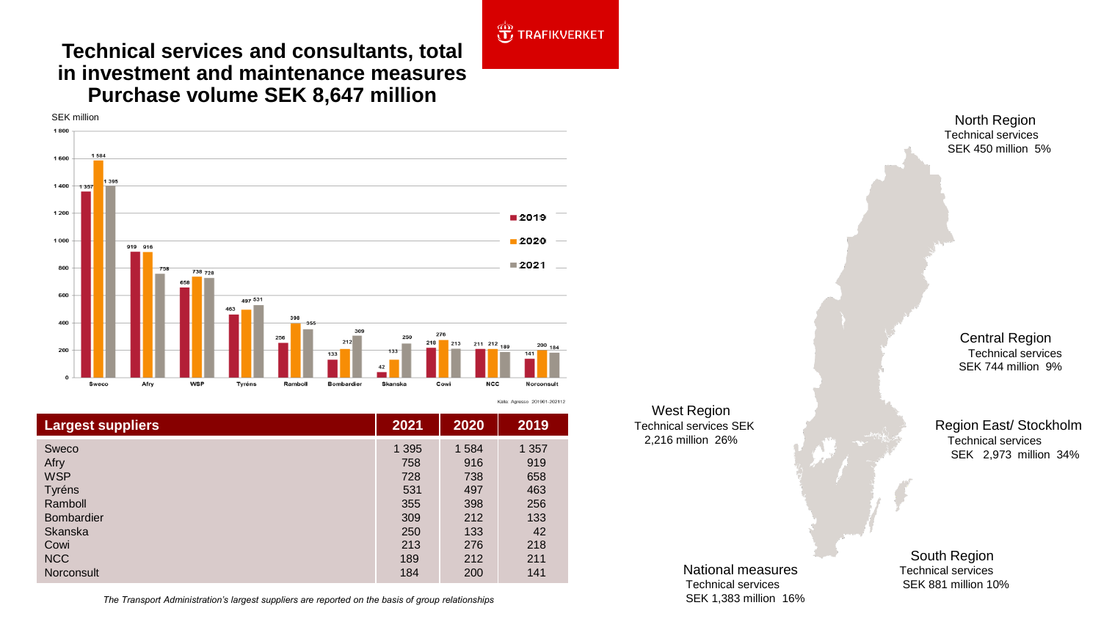## **JE TRAFIKVERKET**

Källa: Agresso 201901-202112

## **Technical services and consultants, total in investment and maintenance measures Purchase volume SEK 8,647 million**



| <b>Largest suppliers</b> | 2021    | 2020    | 2019  |
|--------------------------|---------|---------|-------|
| Sweco                    | 1 3 9 5 | 1 5 8 4 | 1 357 |
| Afry                     | 758     | 916     | 919   |
| <b>WSP</b>               | 728     | 738     | 658   |
| Tyréns                   | 531     | 497     | 463   |
| Ramboll                  | 355     | 398     | 256   |
| <b>Bombardier</b>        | 309     | 212     | 133   |
| <b>Skanska</b>           | 250     | 133     | 42    |
| Cowi                     | 213     | 276     | 218   |
| <b>NCC</b>               | 189     | 212     | 211   |
| Norconsult               | 184     | 200     | 141   |

*The Transport Administration's largest suppliers are reported on the basis of group relationships* SEK 1,383 million 16%

West Region Technical services SEK 2,216 million 26%

Technical services SEK 450 million 5%

> Central Region Technical services SEK 744 million 9%

Region East/ Stockholm Technical services SEK 2,973 million 34%

National measures Technical services

South Region Technical services SEK 881 million 10%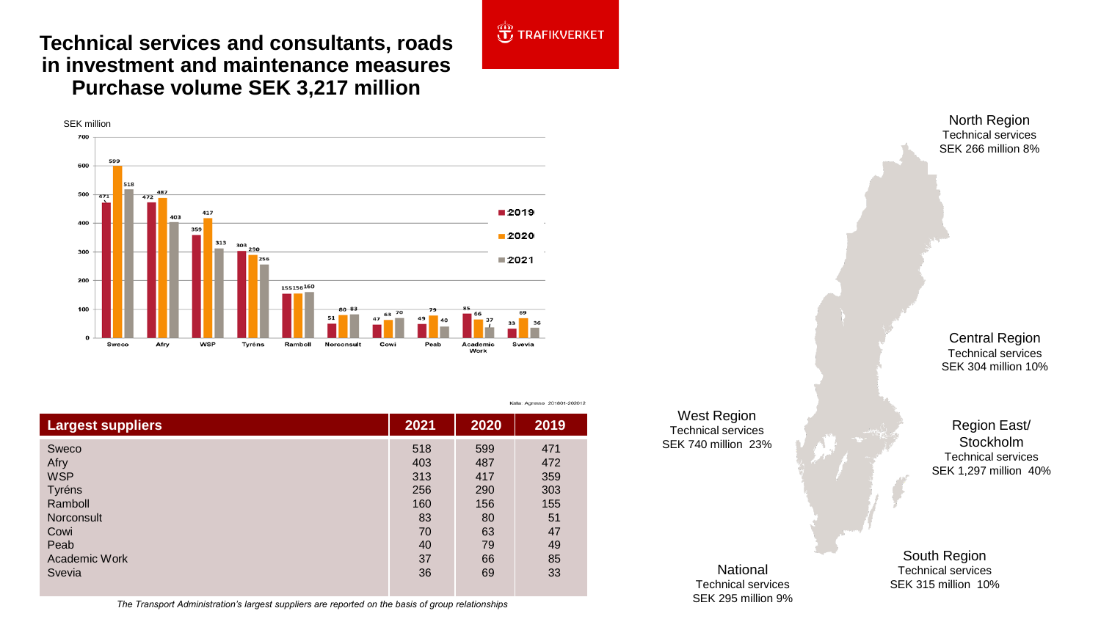**Technical services and consultants, roads in investment and maintenance measures Purchase volume SEK 3,217 million**



| <b>Largest suppliers</b> | 2021 | 2020 | 2019 |
|--------------------------|------|------|------|
| Sweco                    | 518  | 599  | 471  |
| Afry                     | 403  | 487  | 472  |
| <b>WSP</b>               | 313  | 417  | 359  |
| Tyréns                   | 256  | 290  | 303  |
| Ramboll                  | 160  | 156  | 155  |
| <b>Norconsult</b>        | 83   | 80   | 51   |
| Cowi                     | 70   | 63   | 47   |
| Peab                     | 40   | 79   | 49   |
| Academic Work            | 37   | 66   | 85   |
| Svevia                   | 36   | 69   | 33   |

The Transport Administration's largest suppliers are reported on the basis of group relationships<br>The Transport Administration's largest suppliers are reported on the basis of group relationships

**JE TRAFIKVERKET** 

Källa: Agresso 201801-202012

West Region Technical services SEK 740 million 23%

> National Technical services

Technical services SEK 266 million 8%

Central Region Technical services SEK 304 million 10%

Region East/ Stockholm Technical services SEK 1,297 million 40%

South Region Technical services SEK 315 million 10%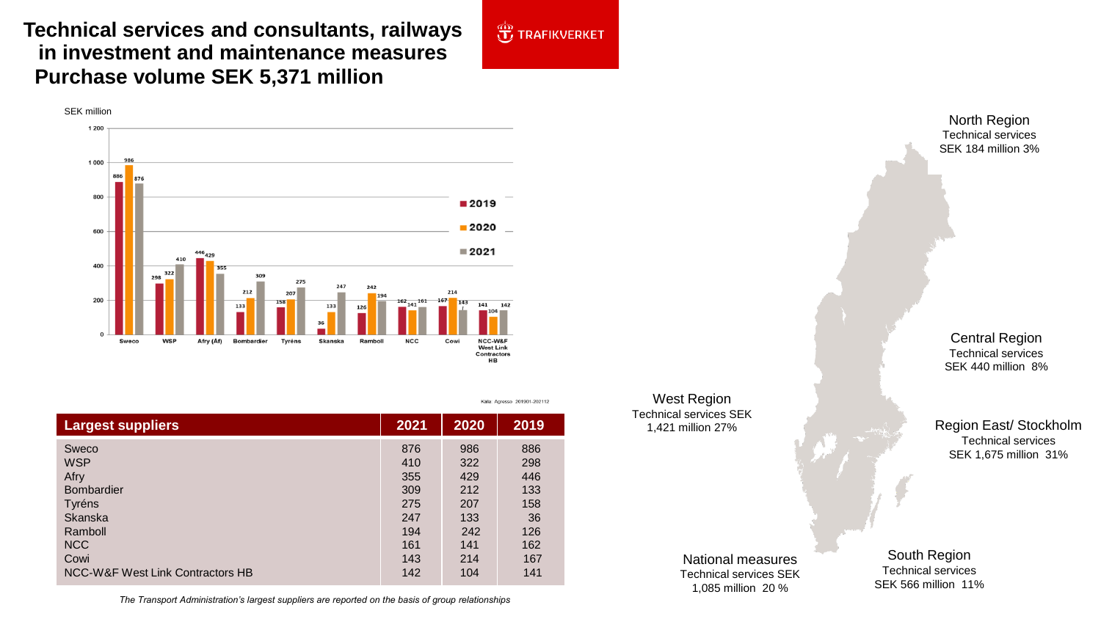**Technical services and consultants, railways in investment and maintenance measures Purchase volume SEK 5,371 million** 



| <b>Largest suppliers</b>         | 2021 | 2020 | 2019 |
|----------------------------------|------|------|------|
| Sweco                            | 876  | 986  | 886  |
| <b>WSP</b>                       | 410  | 322  | 298  |
| <b>Afry</b>                      | 355  | 429  | 446  |
| <b>Bombardier</b>                | 309  | 212  | 133  |
| <b>Tyréns</b>                    | 275  | 207  | 158  |
| Skanska                          | 247  | 133  | 36   |
| Ramboll                          | 194  | 242  | 126  |
| <b>NCC</b>                       | 161  | 141  | 162  |
| Cowi                             | 143  | 214  | 167  |
| NCC-W&F West Link Contractors HB | 142  | 104  | 141  |

West Region Technical services SEK 1,421 million 27%

**J** TRAFIKVERKET

Källa: Agresso 201901-202112

North Region Technical services SEK 184 million 3%

Central Region Technical services SEK 440 million 8%

Region East/ Stockholm Technical services SEK 1,675 million 31%

National measures Technical services SEK 1,085 million 20 %

South Region Technical services SEK 566 million 11%

*The Transport Administration's largest suppliers are reported on the basis of group relationships*